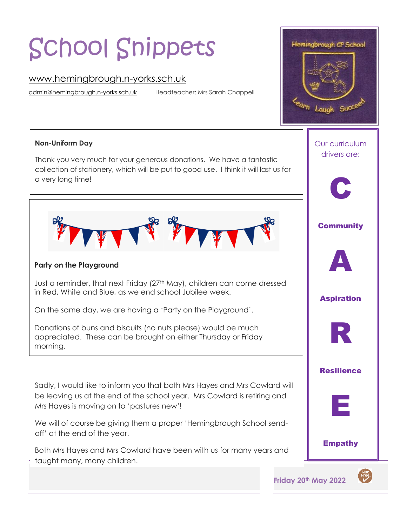# School Snippets

# [www.hemingbrough.n-yorks.sch.uk](http://www.hemingbrough.n-yorks.sch.uk/)

[admin@hemingbrough.n-yorks.sch.uk](mailto:admin@hemingbrough.n-yorks.sch.uk) Headteacher: Mrs Sarah Chappell

#### **Non-Uniform Day**

 $\overline{\phantom{a}}$ 

Thank you very much for your generous donations. We have a fantastic collection of stationery, which will be put to good use. I think it will last us for a very long time!



# **Party on the Playground**

Just a reminder, that next Friday (27<sup>th</sup> May), children can come dressed in Red, White and Blue, as we end school Jubilee week.

On the same day, we are having a 'Party on the Playground'.

Donations of buns and biscuits (no nuts please) would be much appreciated. These can be brought on either Thursday or Friday morning.

Sadly, I would like to inform you that both Mrs Hayes and Mrs Cowlard will be leaving us at the end of the school year. Mrs Cowlard is retiring and Mrs Hayes is moving on to 'pastures new'!

We will of course be giving them a proper 'Hemingbrough School sendoff' at the end of the year.

Both Mrs Hayes and Mrs Cowlard have been with us for many years and taught many, many children.



**Friday 20th May 2022** 



Empathy